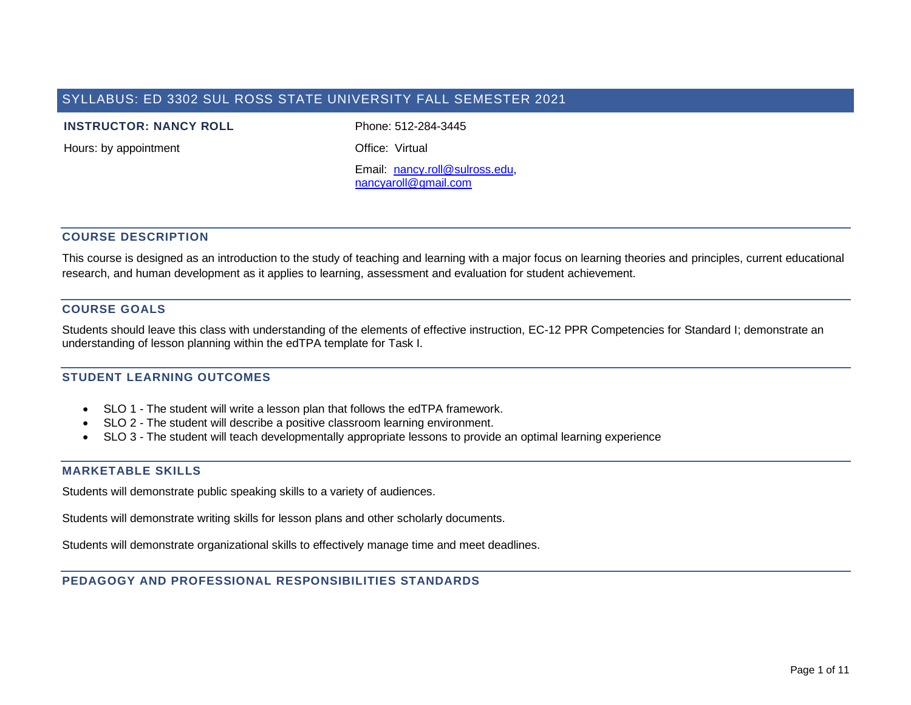# SYLLABUS: ED 3302 SUL ROSS STATE UNIVERSITY FALL SEMESTER 2021

#### **INSTRUCTOR: NANCY ROLL** Phone: 512-284-3445

Hours: by appointment **Containers** Office: Virtual

Email: [nancy.roll@sulross.edu,](mailto:nancy.roll@sulross.edu) [nancyaroll@gmail.com](mailto:nancyaroll@gmail.com)

# **COURSE DESCRIPTION**

This course is designed as an introduction to the study of teaching and learning with a major focus on learning theories and principles, current educational research, and human development as it applies to learning, assessment and evaluation for student achievement.

### **COURSE GOALS**

Students should leave this class with understanding of the elements of effective instruction, EC-12 PPR Competencies for Standard I; demonstrate an understanding of lesson planning within the edTPA template for Task I.

### **STUDENT LEARNING OUTCOMES**

- SLO 1 The student will write a lesson plan that follows the edTPA framework.
- SLO 2 The student will describe a positive classroom learning environment.
- SLO 3 The student will teach developmentally appropriate lessons to provide an optimal learning experience

### **MARKETABLE SKILLS**

Students will demonstrate public speaking skills to a variety of audiences.

Students will demonstrate writing skills for lesson plans and other scholarly documents.

Students will demonstrate organizational skills to effectively manage time and meet deadlines.

### **PEDAGOGY AND PROFESSIONAL RESPONSIBILITIES STANDARDS**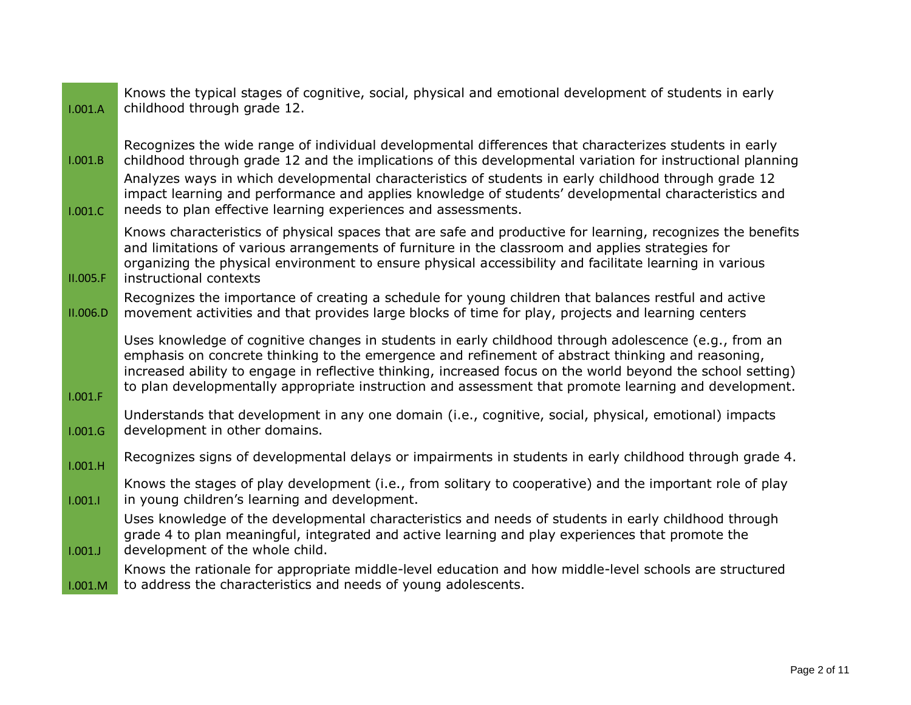| 1.001.A            | Knows the typical stages of cognitive, social, physical and emotional development of students in early<br>childhood through grade 12.                                                                                                                                                                                                                                                                                                                                                                 |
|--------------------|-------------------------------------------------------------------------------------------------------------------------------------------------------------------------------------------------------------------------------------------------------------------------------------------------------------------------------------------------------------------------------------------------------------------------------------------------------------------------------------------------------|
| 1.001.B<br>1.001.C | Recognizes the wide range of individual developmental differences that characterizes students in early<br>childhood through grade 12 and the implications of this developmental variation for instructional planning<br>Analyzes ways in which developmental characteristics of students in early childhood through grade 12<br>impact learning and performance and applies knowledge of students' developmental characteristics and<br>needs to plan effective learning experiences and assessments. |
| II.005.F           | Knows characteristics of physical spaces that are safe and productive for learning, recognizes the benefits<br>and limitations of various arrangements of furniture in the classroom and applies strategies for<br>organizing the physical environment to ensure physical accessibility and facilitate learning in various<br>instructional contexts                                                                                                                                                  |
| II.006.D           | Recognizes the importance of creating a schedule for young children that balances restful and active<br>movement activities and that provides large blocks of time for play, projects and learning centers                                                                                                                                                                                                                                                                                            |
| 1.001.F            | Uses knowledge of cognitive changes in students in early childhood through adolescence (e.g., from an<br>emphasis on concrete thinking to the emergence and refinement of abstract thinking and reasoning,<br>increased ability to engage in reflective thinking, increased focus on the world beyond the school setting)<br>to plan developmentally appropriate instruction and assessment that promote learning and development.                                                                    |
| 1.001.G            | Understands that development in any one domain (i.e., cognitive, social, physical, emotional) impacts<br>development in other domains.                                                                                                                                                                                                                                                                                                                                                                |
| 1.001.H            | Recognizes signs of developmental delays or impairments in students in early childhood through grade 4.                                                                                                                                                                                                                                                                                                                                                                                               |
| 1.001.1            | Knows the stages of play development (i.e., from solitary to cooperative) and the important role of play<br>in young children's learning and development.                                                                                                                                                                                                                                                                                                                                             |
| 1.001.J            | Uses knowledge of the developmental characteristics and needs of students in early childhood through<br>grade 4 to plan meaningful, integrated and active learning and play experiences that promote the<br>development of the whole child.                                                                                                                                                                                                                                                           |
| 1.001.M            | Knows the rationale for appropriate middle-level education and how middle-level schools are structured<br>to address the characteristics and needs of young adolescents.                                                                                                                                                                                                                                                                                                                              |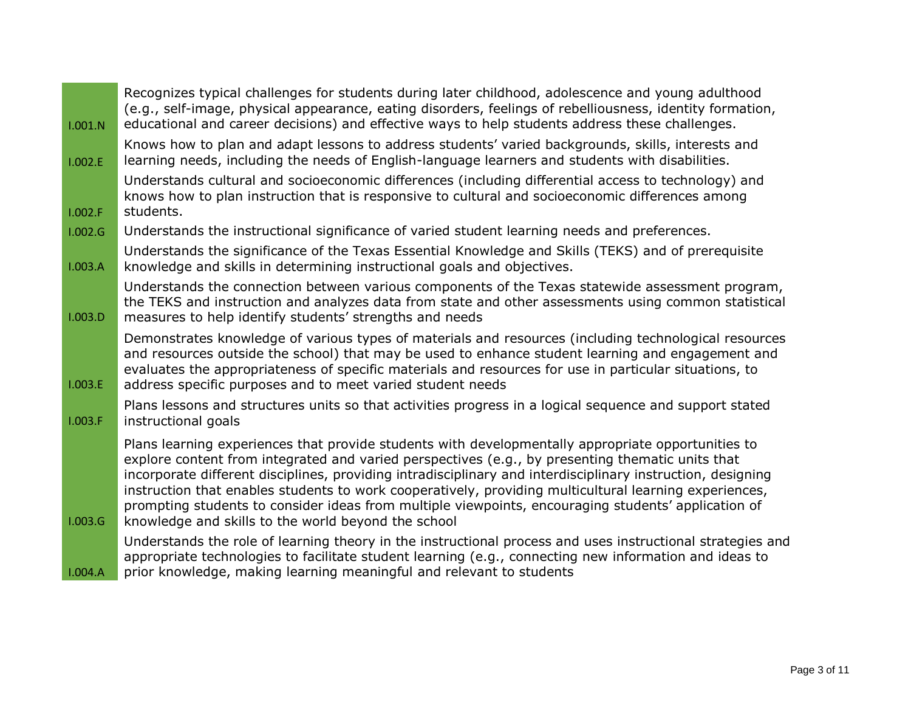| 1.001.N | Recognizes typical challenges for students during later childhood, adolescence and young adulthood<br>(e.g., self-image, physical appearance, eating disorders, feelings of rebelliousness, identity formation,<br>educational and career decisions) and effective ways to help students address these challenges.                                                                                                                                                                                                                                                                            |
|---------|-----------------------------------------------------------------------------------------------------------------------------------------------------------------------------------------------------------------------------------------------------------------------------------------------------------------------------------------------------------------------------------------------------------------------------------------------------------------------------------------------------------------------------------------------------------------------------------------------|
| 1.002.E | Knows how to plan and adapt lessons to address students' varied backgrounds, skills, interests and<br>learning needs, including the needs of English-language learners and students with disabilities.                                                                                                                                                                                                                                                                                                                                                                                        |
| 1.002.F | Understands cultural and socioeconomic differences (including differential access to technology) and<br>knows how to plan instruction that is responsive to cultural and socioeconomic differences among<br>students.                                                                                                                                                                                                                                                                                                                                                                         |
| 1.002.G | Understands the instructional significance of varied student learning needs and preferences.                                                                                                                                                                                                                                                                                                                                                                                                                                                                                                  |
| 1.003.A | Understands the significance of the Texas Essential Knowledge and Skills (TEKS) and of prerequisite<br>knowledge and skills in determining instructional goals and objectives.                                                                                                                                                                                                                                                                                                                                                                                                                |
| 1.003.D | Understands the connection between various components of the Texas statewide assessment program,<br>the TEKS and instruction and analyzes data from state and other assessments using common statistical<br>measures to help identify students' strengths and needs                                                                                                                                                                                                                                                                                                                           |
| 1.003.E | Demonstrates knowledge of various types of materials and resources (including technological resources<br>and resources outside the school) that may be used to enhance student learning and engagement and<br>evaluates the appropriateness of specific materials and resources for use in particular situations, to<br>address specific purposes and to meet varied student needs                                                                                                                                                                                                            |
| 1.003.F | Plans lessons and structures units so that activities progress in a logical sequence and support stated<br>instructional goals                                                                                                                                                                                                                                                                                                                                                                                                                                                                |
| 1.003.G | Plans learning experiences that provide students with developmentally appropriate opportunities to<br>explore content from integrated and varied perspectives (e.g., by presenting thematic units that<br>incorporate different disciplines, providing intradisciplinary and interdisciplinary instruction, designing<br>instruction that enables students to work cooperatively, providing multicultural learning experiences,<br>prompting students to consider ideas from multiple viewpoints, encouraging students' application of<br>knowledge and skills to the world beyond the school |
| 1.004.A | Understands the role of learning theory in the instructional process and uses instructional strategies and<br>appropriate technologies to facilitate student learning (e.g., connecting new information and ideas to<br>prior knowledge, making learning meaningful and relevant to students                                                                                                                                                                                                                                                                                                  |

 $\overline{\phantom{0}}$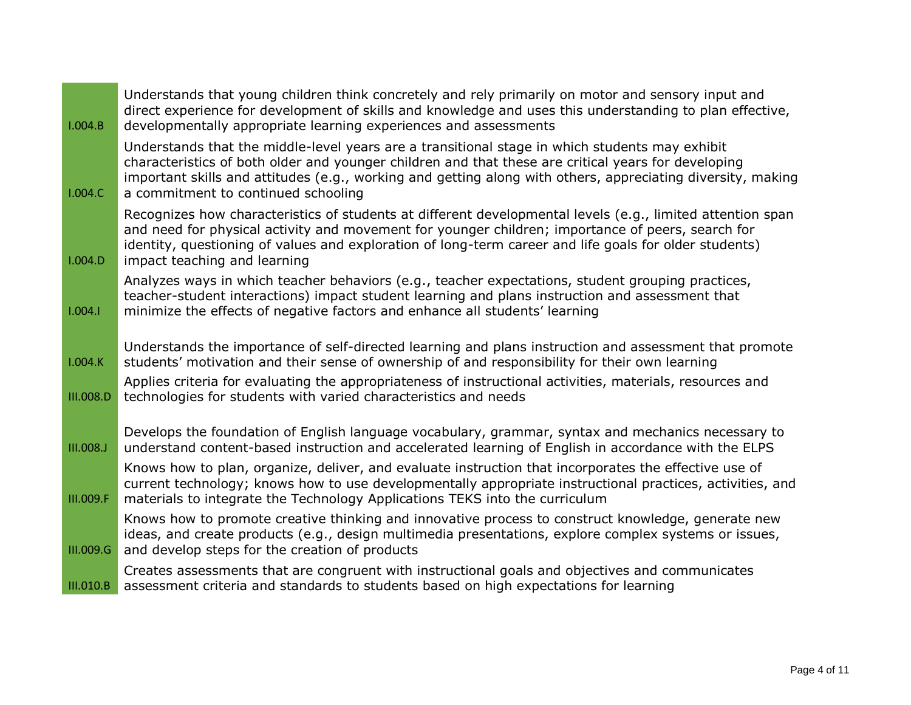| 1.004.B          | Understands that young children think concretely and rely primarily on motor and sensory input and<br>direct experience for development of skills and knowledge and uses this understanding to plan effective,<br>developmentally appropriate learning experiences and assessments                                                                          |
|------------------|-------------------------------------------------------------------------------------------------------------------------------------------------------------------------------------------------------------------------------------------------------------------------------------------------------------------------------------------------------------|
| 1.004.C          | Understands that the middle-level years are a transitional stage in which students may exhibit<br>characteristics of both older and younger children and that these are critical years for developing<br>important skills and attitudes (e.g., working and getting along with others, appreciating diversity, making<br>a commitment to continued schooling |
| 1.004.D          | Recognizes how characteristics of students at different developmental levels (e.g., limited attention span<br>and need for physical activity and movement for younger children; importance of peers, search for<br>identity, questioning of values and exploration of long-term career and life goals for older students)<br>impact teaching and learning   |
| 1.004.1          | Analyzes ways in which teacher behaviors (e.g., teacher expectations, student grouping practices,<br>teacher-student interactions) impact student learning and plans instruction and assessment that<br>minimize the effects of negative factors and enhance all students' learning                                                                         |
| 1.004.K          | Understands the importance of self-directed learning and plans instruction and assessment that promote<br>students' motivation and their sense of ownership of and responsibility for their own learning                                                                                                                                                    |
| III.008.D        | Applies criteria for evaluating the appropriateness of instructional activities, materials, resources and<br>technologies for students with varied characteristics and needs                                                                                                                                                                                |
| <b>III.008.J</b> | Develops the foundation of English language vocabulary, grammar, syntax and mechanics necessary to<br>understand content-based instruction and accelerated learning of English in accordance with the ELPS                                                                                                                                                  |
| III.009.F        | Knows how to plan, organize, deliver, and evaluate instruction that incorporates the effective use of<br>current technology; knows how to use developmentally appropriate instructional practices, activities, and<br>materials to integrate the Technology Applications TEKS into the curriculum                                                           |
| III.009.G        | Knows how to promote creative thinking and innovative process to construct knowledge, generate new<br>ideas, and create products (e.g., design multimedia presentations, explore complex systems or issues,<br>and develop steps for the creation of products                                                                                               |
| III.010.B        | Creates assessments that are congruent with instructional goals and objectives and communicates<br>assessment criteria and standards to students based on high expectations for learning                                                                                                                                                                    |

 $\overline{\phantom{0}}$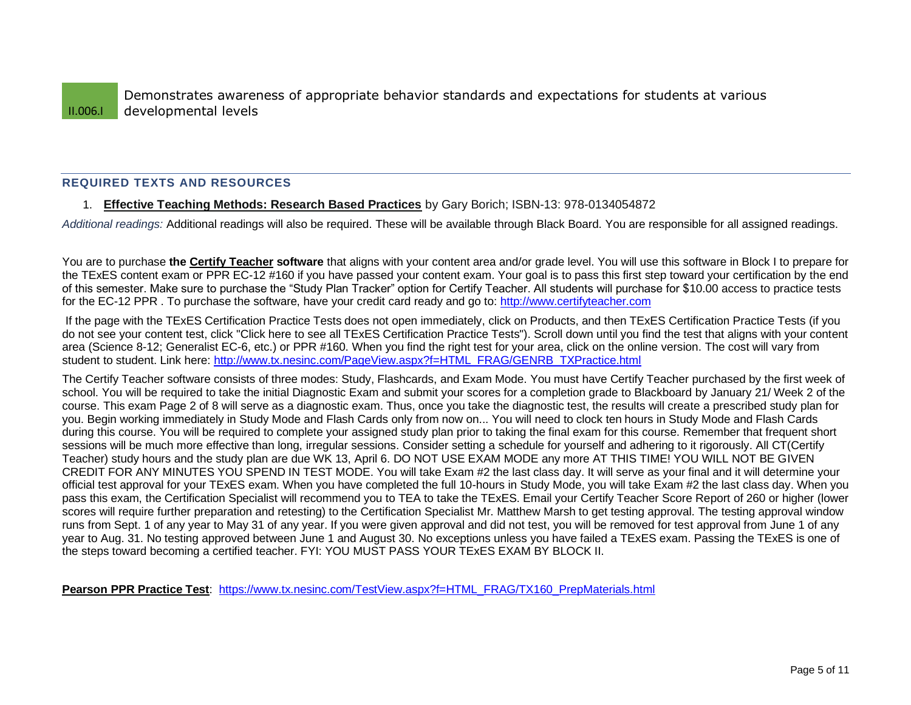II.006.I Demonstrates awareness of appropriate behavior standards and expectations for students at various developmental levels

# **REQUIRED TEXTS AND RESOURCES**

### 1. **Effective Teaching Methods: Research Based Practices** by Gary Borich; ISBN-13: 978-0134054872

*Additional readings:* Additional readings will also be required. These will be available through Black Board. You are responsible for all assigned readings.

You are to purchase **the Certify Teacher software** that aligns with your content area and/or grade level. You will use this software in Block I to prepare for the TExES content exam or PPR EC-12 #160 if you have passed your content exam. Your goal is to pass this first step toward your certification by the end of this semester. Make sure to purchase the "Study Plan Tracker" option for Certify Teacher. All students will purchase for \$10.00 access to practice tests for the EC-12 PPR . To purchase the software, have your credit card ready and go to[: http://www.certifyteacher.com](http://www.certifyteacher.com/)

If the page with the TExES Certification Practice Tests does not open immediately, click on Products, and then TExES Certification Practice Tests (if you do not see your content test, click "Click here to see all TExES Certification Practice Tests"). Scroll down until you find the test that aligns with your content area (Science 8-12; Generalist EC-6, etc.) or PPR #160. When you find the right test for your area, click on the online version. The cost will vary from student to student. Link here: [http://www.tx.nesinc.com/PageView.aspx?f=HTML\\_FRAG/GENRB\\_TXPractice.html](http://www.tx.nesinc.com/PageView.aspx?f=HTML_FRAG/GENRB_TXPractice.html)

The Certify Teacher software consists of three modes: Study, Flashcards, and Exam Mode. You must have Certify Teacher purchased by the first week of school. You will be required to take the initial Diagnostic Exam and submit your scores for a completion grade to Blackboard by January 21/ Week 2 of the course. This exam Page 2 of 8 will serve as a diagnostic exam. Thus, once you take the diagnostic test, the results will create a prescribed study plan for you. Begin working immediately in Study Mode and Flash Cards only from now on... You will need to clock ten hours in Study Mode and Flash Cards during this course. You will be required to complete your assigned study plan prior to taking the final exam for this course. Remember that frequent short sessions will be much more effective than long, irregular sessions. Consider setting a schedule for yourself and adhering to it rigorously. All CT(Certify Teacher) study hours and the study plan are due WK 13, April 6. DO NOT USE EXAM MODE any more AT THIS TIME! YOU WILL NOT BE GIVEN CREDIT FOR ANY MINUTES YOU SPEND IN TEST MODE. You will take Exam #2 the last class day. It will serve as your final and it will determine your official test approval for your TExES exam. When you have completed the full 10-hours in Study Mode, you will take Exam #2 the last class day. When you pass this exam, the Certification Specialist will recommend you to TEA to take the TExES. Email your Certify Teacher Score Report of 260 or higher (lower scores will require further preparation and retesting) to the Certification Specialist Mr. Matthew Marsh to get testing approval. The testing approval window runs from Sept. 1 of any year to May 31 of any year. If you were given approval and did not test, you will be removed for test approval from June 1 of any year to Aug. 31. No testing approved between June 1 and August 30. No exceptions unless you have failed a TExES exam. Passing the TExES is one of the steps toward becoming a certified teacher. FYI: YOU MUST PASS YOUR TExES EXAM BY BLOCK II.

**Pearson PPR Practice Test**: [https://www.tx.nesinc.com/TestView.aspx?f=HTML\\_FRAG/TX160\\_PrepMaterials.html](https://www.tx.nesinc.com/TestView.aspx?f=HTML_FRAG/TX160_PrepMaterials.html)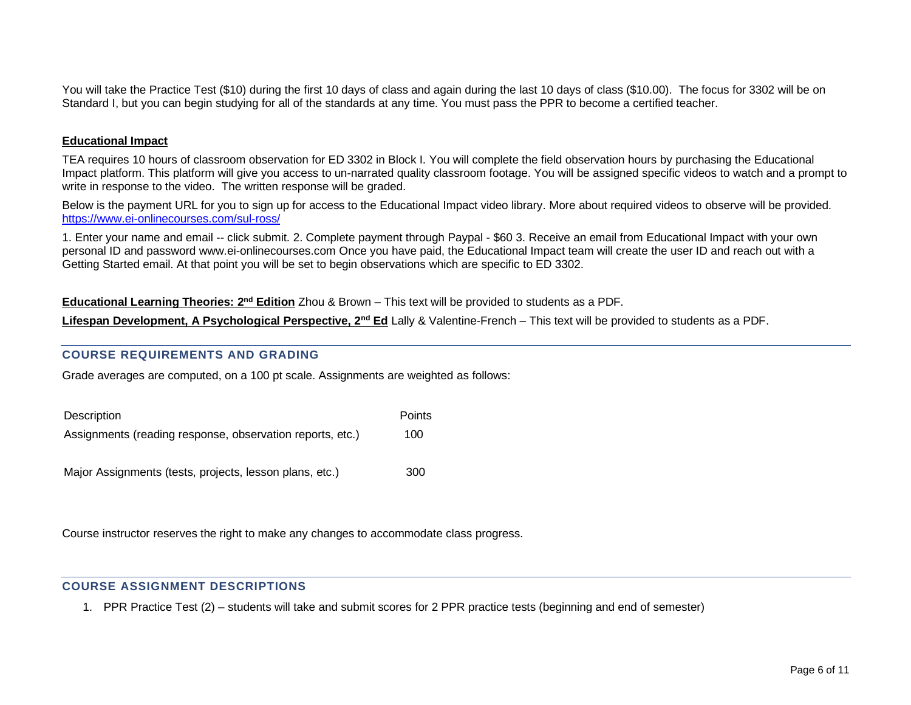You will take the Practice Test (\$10) during the first 10 days of class and again during the last 10 days of class (\$10.00). The focus for 3302 will be on Standard I, but you can begin studying for all of the standards at any time. You must pass the PPR to become a certified teacher.

### **Educational Impact**

TEA requires 10 hours of classroom observation for ED 3302 in Block I. You will complete the field observation hours by purchasing the Educational Impact platform. This platform will give you access to un-narrated quality classroom footage. You will be assigned specific videos to watch and a prompt to write in response to the video. The written response will be graded.

Below is the payment URL for you to sign up for access to the Educational Impact video library. More about required videos to observe will be provided. <https://www.ei-onlinecourses.com/sul-ross/>

1. Enter your name and email -- click submit. 2. Complete payment through Paypal - \$60 3. Receive an email from Educational Impact with your own personal ID and password www.ei-onlinecourses.com Once you have paid, the Educational Impact team will create the user ID and reach out with a Getting Started email. At that point you will be set to begin observations which are specific to ED 3302.

Educational Learning Theories: 2<sup>nd</sup> Edition Zhou & Brown – This text will be provided to students as a PDF.

**Lifespan Development, A Psychological Perspective, 2<sup>nd</sup> Ed** Lally & Valentine-French – This text will be provided to students as a PDF.

# **COURSE REQUIREMENTS AND GRADING**

Grade averages are computed, on a 100 pt scale. Assignments are weighted as follows:

| Description                                               | Points |
|-----------------------------------------------------------|--------|
| Assignments (reading response, observation reports, etc.) | 100    |
| Major Assignments (tests, projects, lesson plans, etc.)   | 300    |

Course instructor reserves the right to make any changes to accommodate class progress.

### **COURSE ASSIGNMENT DESCRIPTIONS**

1. PPR Practice Test (2) – students will take and submit scores for 2 PPR practice tests (beginning and end of semester)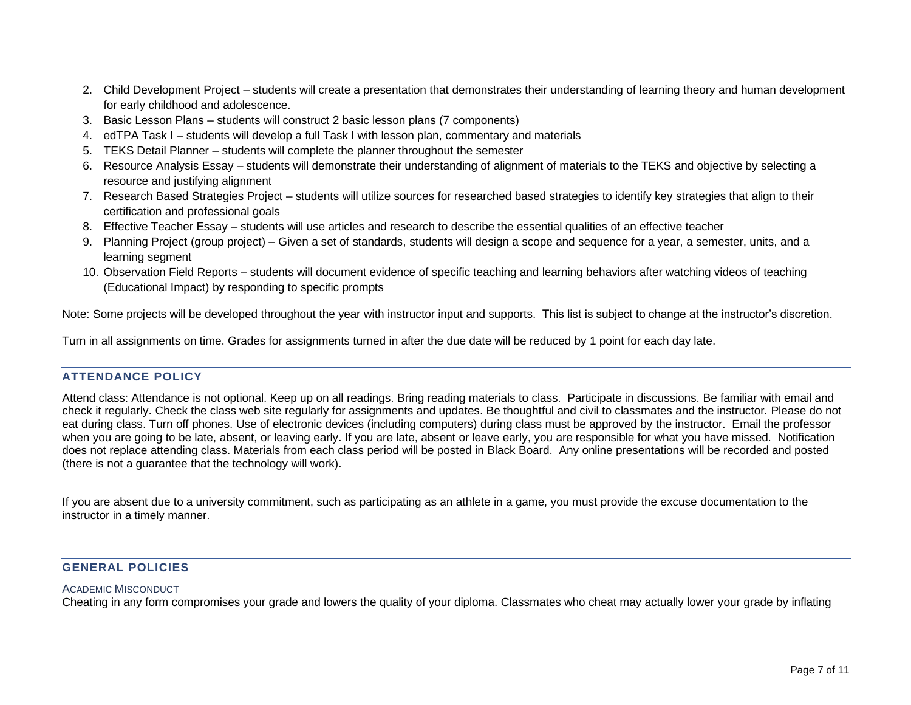- 2. Child Development Project students will create a presentation that demonstrates their understanding of learning theory and human development for early childhood and adolescence.
- 3. Basic Lesson Plans students will construct 2 basic lesson plans (7 components)
- 4. edTPA Task I students will develop a full Task I with lesson plan, commentary and materials
- 5. TEKS Detail Planner students will complete the planner throughout the semester
- 6. Resource Analysis Essay students will demonstrate their understanding of alignment of materials to the TEKS and objective by selecting a resource and justifying alignment
- 7. Research Based Strategies Project students will utilize sources for researched based strategies to identify key strategies that align to their certification and professional goals
- 8. Effective Teacher Essay students will use articles and research to describe the essential qualities of an effective teacher
- 9. Planning Project (group project) Given a set of standards, students will design a scope and sequence for a year, a semester, units, and a learning segment
- 10. Observation Field Reports students will document evidence of specific teaching and learning behaviors after watching videos of teaching (Educational Impact) by responding to specific prompts

Note: Some projects will be developed throughout the year with instructor input and supports. This list is subject to change at the instructor's discretion.

Turn in all assignments on time. Grades for assignments turned in after the due date will be reduced by 1 point for each day late.

# **ATTENDANCE POLICY**

Attend class: Attendance is not optional. Keep up on all readings. Bring reading materials to class. Participate in discussions. Be familiar with email and check it regularly. Check the class web site regularly for assignments and updates. Be thoughtful and civil to classmates and the instructor. Please do not eat during class. Turn off phones. Use of electronic devices (including computers) during class must be approved by the instructor. Email the professor when you are going to be late, absent, or leaving early. If you are late, absent or leave early, you are responsible for what you have missed. Notification does not replace attending class. Materials from each class period will be posted in Black Board. Any online presentations will be recorded and posted (there is not a guarantee that the technology will work).

If you are absent due to a university commitment, such as participating as an athlete in a game, you must provide the excuse documentation to the instructor in a timely manner.

# **GENERAL POLICIES**

### ACADEMIC MISCONDUCT

Cheating in any form compromises your grade and lowers the quality of your diploma. Classmates who cheat may actually lower your grade by inflating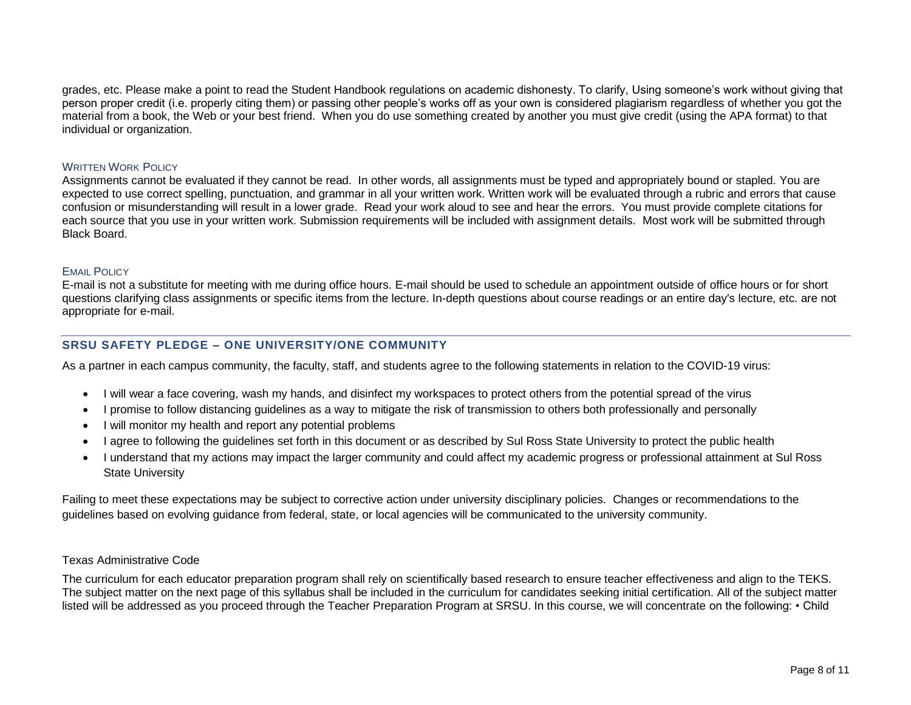grades, etc. Please make a point to read the Student Handbook regulations on academic dishonesty. To clarify, Using someone's work without giving that person proper credit (i.e. properly citing them) or passing other people's works off as your own is considered plagiarism regardless of whether you got the material from a book, the Web or your best friend. When you do use something created by another you must give credit (using the APA format) to that individual or organization.

### WRITTEN WORK POLICY

Assignments cannot be evaluated if they cannot be read. In other words, all assignments must be typed and appropriately bound or stapled. You are expected to use correct spelling, punctuation, and grammar in all your written work. Written work will be evaluated through a rubric and errors that cause confusion or misunderstanding will result in a lower grade. Read your work aloud to see and hear the errors. You must provide complete citations for each source that you use in your written work. Submission requirements will be included with assignment details. Most work will be submitted through Black Board.

#### EMAIL POLICY

E-mail is not a substitute for meeting with me during office hours. E-mail should be used to schedule an appointment outside of office hours or for short questions clarifying class assignments or specific items from the lecture. In-depth questions about course readings or an entire day's lecture, etc. are not appropriate for e-mail.

### **SRSU SAFETY PLEDGE – ONE UNIVERSITY/ONE COMMUNITY**

As a partner in each campus community, the faculty, staff, and students agree to the following statements in relation to the COVID-19 virus:

- I will wear a face covering, wash my hands, and disinfect my workspaces to protect others from the potential spread of the virus
- I promise to follow distancing guidelines as a way to mitigate the risk of transmission to others both professionally and personally
- I will monitor my health and report any potential problems
- I agree to following the guidelines set forth in this document or as described by Sul Ross State University to protect the public health
- I understand that my actions may impact the larger community and could affect my academic progress or professional attainment at Sul Ross State University

Failing to meet these expectations may be subject to corrective action under university disciplinary policies. Changes or recommendations to the guidelines based on evolving guidance from federal, state, or local agencies will be communicated to the university community.

### Texas Administrative Code

The curriculum for each educator preparation program shall rely on scientifically based research to ensure teacher effectiveness and align to the TEKS. The subject matter on the next page of this syllabus shall be included in the curriculum for candidates seeking initial certification. All of the subject matter listed will be addressed as you proceed through the Teacher Preparation Program at SRSU. In this course, we will concentrate on the following: • Child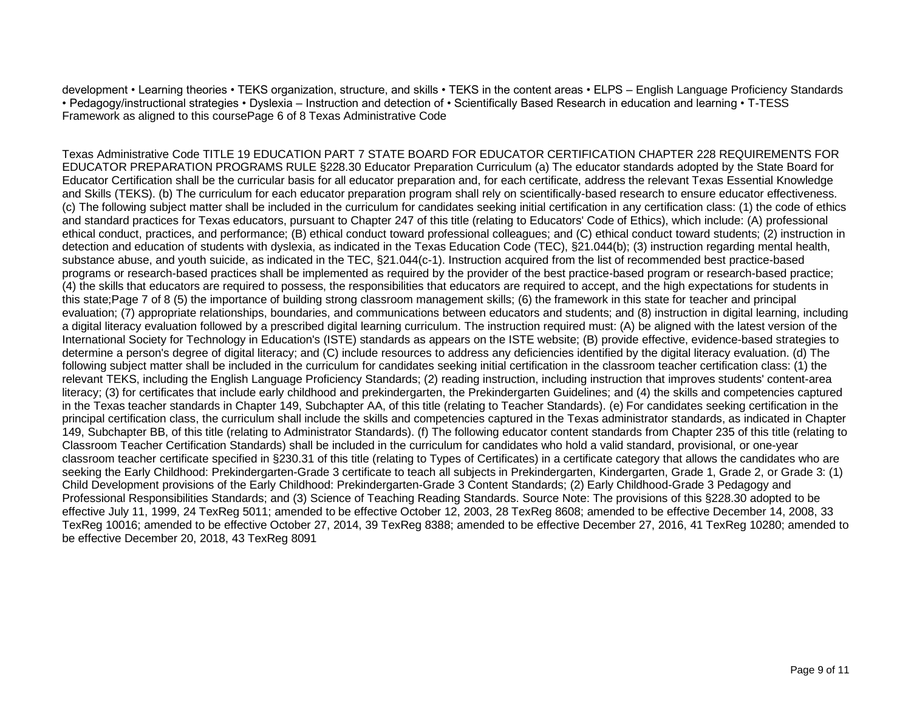development • Learning theories • TEKS organization, structure, and skills • TEKS in the content areas • ELPS – English Language Proficiency Standards • Pedagogy/instructional strategies • Dyslexia – Instruction and detection of • Scientifically Based Research in education and learning • T-TESS Framework as aligned to this coursePage 6 of 8 Texas Administrative Code

Texas Administrative Code TITLE 19 EDUCATION PART 7 STATE BOARD FOR EDUCATOR CERTIFICATION CHAPTER 228 REQUIREMENTS FOR EDUCATOR PREPARATION PROGRAMS RULE §228.30 Educator Preparation Curriculum (a) The educator standards adopted by the State Board for Educator Certification shall be the curricular basis for all educator preparation and, for each certificate, address the relevant Texas Essential Knowledge and Skills (TEKS). (b) The curriculum for each educator preparation program shall rely on scientifically-based research to ensure educator effectiveness. (c) The following subject matter shall be included in the curriculum for candidates seeking initial certification in any certification class: (1) the code of ethics and standard practices for Texas educators, pursuant to Chapter 247 of this title (relating to Educators' Code of Ethics), which include: (A) professional ethical conduct, practices, and performance; (B) ethical conduct toward professional colleagues; and (C) ethical conduct toward students; (2) instruction in detection and education of students with dyslexia, as indicated in the Texas Education Code (TEC), §21.044(b); (3) instruction regarding mental health, substance abuse, and youth suicide, as indicated in the TEC, §21.044(c-1). Instruction acquired from the list of recommended best practice-based programs or research-based practices shall be implemented as required by the provider of the best practice-based program or research-based practice; (4) the skills that educators are required to possess, the responsibilities that educators are required to accept, and the high expectations for students in this state;Page 7 of 8 (5) the importance of building strong classroom management skills; (6) the framework in this state for teacher and principal evaluation; (7) appropriate relationships, boundaries, and communications between educators and students; and (8) instruction in digital learning, including a digital literacy evaluation followed by a prescribed digital learning curriculum. The instruction required must: (A) be aligned with the latest version of the International Society for Technology in Education's (ISTE) standards as appears on the ISTE website; (B) provide effective, evidence-based strategies to determine a person's degree of digital literacy; and (C) include resources to address any deficiencies identified by the digital literacy evaluation. (d) The following subject matter shall be included in the curriculum for candidates seeking initial certification in the classroom teacher certification class: (1) the relevant TEKS, including the English Language Proficiency Standards; (2) reading instruction, including instruction that improves students' content-area literacy; (3) for certificates that include early childhood and prekindergarten, the Prekindergarten Guidelines; and (4) the skills and competencies captured in the Texas teacher standards in Chapter 149, Subchapter AA, of this title (relating to Teacher Standards). (e) For candidates seeking certification in the principal certification class, the curriculum shall include the skills and competencies captured in the Texas administrator standards, as indicated in Chapter 149, Subchapter BB, of this title (relating to Administrator Standards). (f) The following educator content standards from Chapter 235 of this title (relating to Classroom Teacher Certification Standards) shall be included in the curriculum for candidates who hold a valid standard, provisional, or one-year classroom teacher certificate specified in §230.31 of this title (relating to Types of Certificates) in a certificate category that allows the candidates who are seeking the Early Childhood: Prekindergarten-Grade 3 certificate to teach all subjects in Prekindergarten, Kindergarten, Grade 1, Grade 2, or Grade 3: (1) Child Development provisions of the Early Childhood: Prekindergarten-Grade 3 Content Standards; (2) Early Childhood-Grade 3 Pedagogy and Professional Responsibilities Standards; and (3) Science of Teaching Reading Standards. Source Note: The provisions of this §228.30 adopted to be effective July 11, 1999, 24 TexReg 5011; amended to be effective October 12, 2003, 28 TexReg 8608; amended to be effective December 14, 2008, 33 TexReg 10016; amended to be effective October 27, 2014, 39 TexReg 8388; amended to be effective December 27, 2016, 41 TexReg 10280; amended to be effective December 20, 2018, 43 TexReg 8091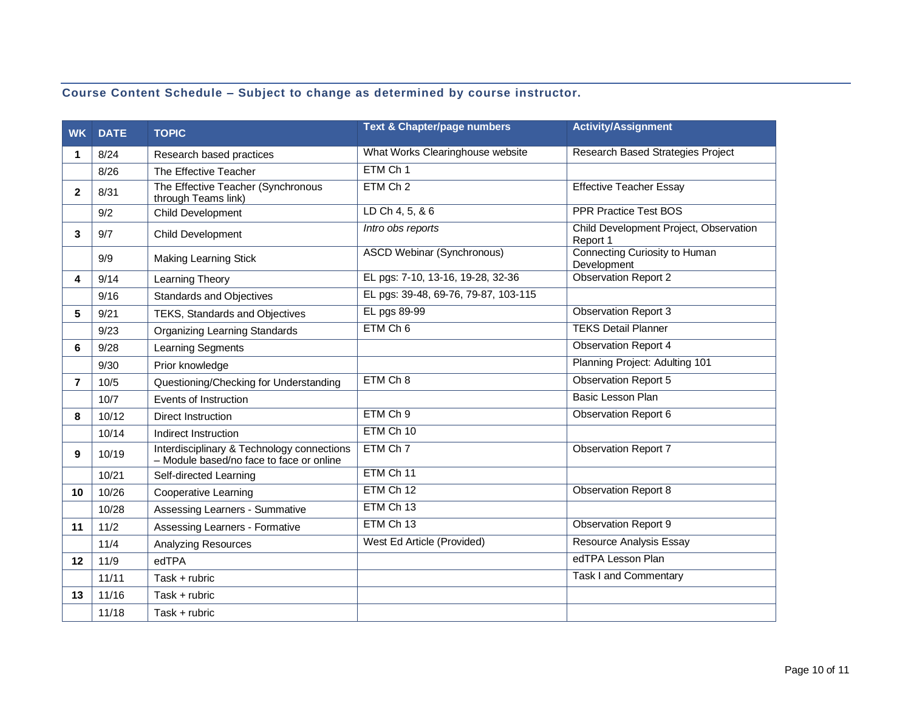# **Course Content Schedule – Subject to change as determined by course instructor.**

| <b>WK</b>      | <b>DATE</b> | <b>TOPIC</b>                                                                           | <b>Text &amp; Chapter/page numbers</b> | <b>Activity/Assignment</b>                         |
|----------------|-------------|----------------------------------------------------------------------------------------|----------------------------------------|----------------------------------------------------|
| 1              | 8/24        | Research based practices                                                               | What Works Clearinghouse website       | <b>Research Based Strategies Project</b>           |
|                | 8/26        | The Effective Teacher                                                                  | ETM Ch 1                               |                                                    |
| $\mathbf{2}$   | 8/31        | The Effective Teacher (Synchronous<br>through Teams link)                              | ETM Ch 2                               | <b>Effective Teacher Essay</b>                     |
|                | 9/2         | Child Development                                                                      | LD Ch 4, 5, & 6                        | <b>PPR Practice Test BOS</b>                       |
| 3              | 9/7         | Child Development                                                                      | Intro obs reports                      | Child Development Project, Observation<br>Report 1 |
|                | 9/9         | <b>Making Learning Stick</b>                                                           | <b>ASCD Webinar (Synchronous)</b>      | Connecting Curiosity to Human<br>Development       |
| 4              | 9/14        | Learning Theory                                                                        | EL pgs: 7-10, 13-16, 19-28, 32-36      | <b>Observation Report 2</b>                        |
|                | 9/16        | <b>Standards and Objectives</b>                                                        | EL pgs: 39-48, 69-76, 79-87, 103-115   |                                                    |
| 5              | 9/21        | TEKS, Standards and Objectives                                                         | EL pgs 89-99                           | <b>Observation Report 3</b>                        |
|                | 9/23        | <b>Organizing Learning Standards</b>                                                   | ETM Ch 6                               | <b>TEKS Detail Planner</b>                         |
| 6              | 9/28        | Learning Segments                                                                      |                                        | <b>Observation Report 4</b>                        |
|                | 9/30        | Prior knowledge                                                                        |                                        | Planning Project: Adulting 101                     |
| $\overline{7}$ | 10/5        | Questioning/Checking for Understanding                                                 | ETM Ch 8                               | <b>Observation Report 5</b>                        |
|                | 10/7        | Events of Instruction                                                                  |                                        | <b>Basic Lesson Plan</b>                           |
| 8              | 10/12       | <b>Direct Instruction</b>                                                              | ETM Ch 9                               | <b>Observation Report 6</b>                        |
|                | 10/14       | Indirect Instruction                                                                   | ETM Ch 10                              |                                                    |
| 9              | 10/19       | Interdisciplinary & Technology connections<br>- Module based/no face to face or online | ETM Ch 7                               | <b>Observation Report 7</b>                        |
|                | 10/21       | Self-directed Learning                                                                 | ETM Ch 11                              |                                                    |
| 10             | 10/26       | <b>Cooperative Learning</b>                                                            | ETM Ch 12                              | <b>Observation Report 8</b>                        |
|                | 10/28       | Assessing Learners - Summative                                                         | ETM Ch 13                              |                                                    |
| 11             | 11/2        | <b>Assessing Learners - Formative</b>                                                  | ETM Ch 13                              | <b>Observation Report 9</b>                        |
|                | 11/4        | <b>Analyzing Resources</b>                                                             | West Ed Article (Provided)             | <b>Resource Analysis Essay</b>                     |
| 12             | 11/9        | edTPA                                                                                  |                                        | edTPA Lesson Plan                                  |
|                | 11/11       | Task $+$ rubric                                                                        |                                        | Task I and Commentary                              |
| 13             | 11/16       | Task + rubric                                                                          |                                        |                                                    |
|                | 11/18       | $Task + rubric$                                                                        |                                        |                                                    |